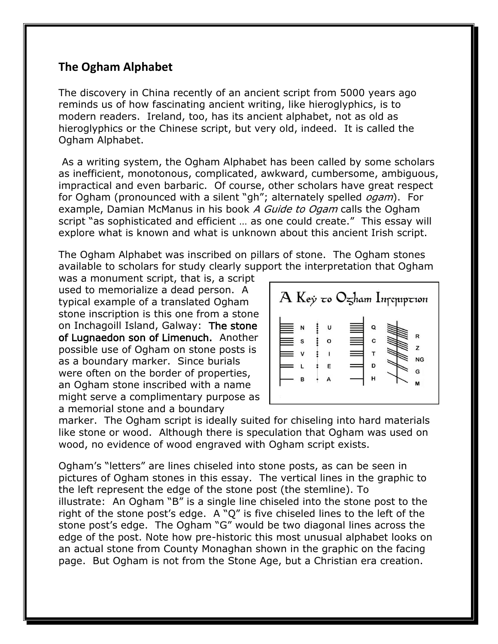## **The Ogham Alphabet**

The discovery in China recently of an ancient script from 5000 years ago reminds us of how fascinating ancient writing, like hieroglyphics, is to modern readers. Ireland, too, has its ancient alphabet, not as old as hieroglyphics or the Chinese script, but very old, indeed. It is called the Ogham Alphabet.

As a writing system, the Ogham Alphabet has been called by some scholars as inefficient, monotonous, complicated, awkward, cumbersome, ambiguous, impractical and even barbaric. Of course, other scholars have great respect for Ogham (pronounced with a silent "gh"; alternately spelled *ogam*). For example, Damian McManus in his book A Guide to Ogam calls the Ogham script "as sophisticated and efficient ... as one could create." This essay will explore what is known and what is unknown about this ancient Irish script.

The Ogham Alphabet was inscribed on pillars of stone. The Ogham stones available to scholars for study clearly support the interpretation that Ogham

was a monument script, that is, a script used to memorialize a dead person. A typical example of a translated Ogham stone inscription is this one from a stone on Inchagoill Island, Galway: The stone of Lugnaedon son of Limenuch. Another possible use of Ogham on stone posts is as a boundary marker. Since burials were often on the border of properties, an Ogham stone inscribed with a name might serve a complimentary purpose as a memorial stone and a boundary



marker. The Ogham script is ideally suited for chiseling into hard materials like stone or wood. Although there is speculation that Ogham was used on wood, no evidence of wood engraved with Ogham script exists.

Ogham's "letters" are lines chiseled into stone posts, as can be seen in pictures of Ogham stones in this essay. The vertical lines in the graphic to the left represent the edge of the stone post (the stemline). To illustrate: An Ogham "B" is a single line chiseled into the stone post to the right of the stone post's edge. A "Q" is five chiseled lines to the left of the stone post's edge. The Ogham "G" would be two diagonal lines across the edge of the post. Note how pre-historic this most unusual alphabet looks on an actual stone from County Monaghan shown in the graphic on the facing page. But Ogham is not from the Stone Age, but a Christian era creation.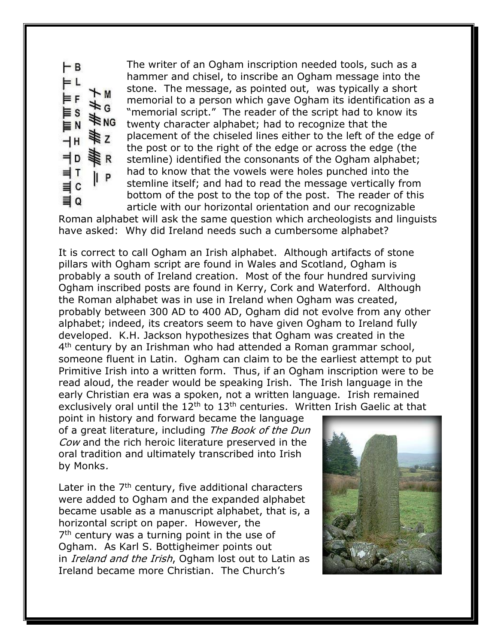FВ = L  $~M$ ¥G ₹R NG P

The writer of an Ogham inscription needed tools, such as a hammer and chisel, to inscribe an Ogham message into the stone. The message, as pointed out, was typically a short memorial to a person which gave Ogham its identification as a "memorial script." The reader of the script had to know its twenty character alphabet; had to recognize that the placement of the chiseled lines either to the left of the edge of the post or to the right of the edge or across the edge (the stemline) identified the consonants of the Ogham alphabet; had to know that the vowels were holes punched into the stemline itself; and had to read the message vertically from bottom of the post to the top of the post. The reader of this article with our horizontal orientation and our recognizable

Roman alphabet will ask the same question which archeologists and linguists have asked: Why did Ireland needs such a cumbersome alphabet?

It is correct to call Ogham an Irish alphabet. Although artifacts of stone pillars with Ogham script are found in Wales and Scotland, Ogham is probably a south of Ireland creation. Most of the four hundred surviving Ogham inscribed posts are found in Kerry, Cork and Waterford. Although the Roman alphabet was in use in Ireland when Ogham was created, probably between 300 AD to 400 AD, Ogham did not evolve from any other alphabet; indeed, its creators seem to have given Ogham to Ireland fully developed. K.H. Jackson hypothesizes that Ogham was created in the 4<sup>th</sup> century by an Irishman who had attended a Roman grammar school, someone fluent in Latin. Ogham can claim to be the earliest attempt to put Primitive Irish into a written form. Thus, if an Ogham inscription were to be read aloud, the reader would be speaking Irish. The Irish language in the early Christian era was a spoken, not a written language. Irish remained exclusively oral until the  $12<sup>th</sup>$  to  $13<sup>th</sup>$  centuries. Written Irish Gaelic at that

point in history and forward became the language of a great literature, including The Book of the Dun Cow and the rich heroic literature preserved in the oral tradition and ultimately transcribed into Irish by Monks.

Later in the  $7<sup>th</sup>$  century, five additional characters were added to Ogham and the expanded alphabet became usable as a manuscript alphabet, that is, a horizontal script on paper. However, the 7<sup>th</sup> century was a turning point in the use of Ogham. As Karl S. Bottigheimer points out in *Ireland and the Irish*, Ogham lost out to Latin as Ireland became more Christian. The Church's

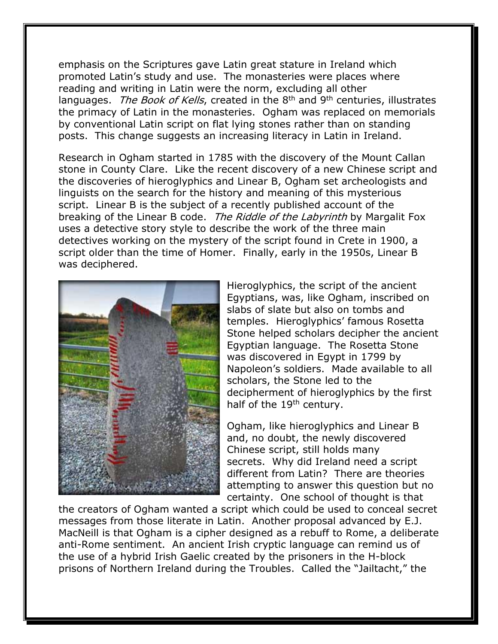emphasis on the Scriptures gave Latin great stature in Ireland which promoted Latin's study and use. The monasteries were places where reading and writing in Latin were the norm, excluding all other languages. The Book of Kells, created in the  $8<sup>th</sup>$  and  $9<sup>th</sup>$  centuries, illustrates the primacy of Latin in the monasteries. Ogham was replaced on memorials by conventional Latin script on flat lying stones rather than on standing posts. This change suggests an increasing literacy in Latin in Ireland.

Research in Ogham started in 1785 with the discovery of the Mount Callan stone in County Clare. Like the recent discovery of a new Chinese script and the discoveries of hieroglyphics and Linear B, Ogham set archeologists and linguists on the search for the history and meaning of this mysterious script. Linear B is the subject of a recently published account of the breaking of the Linear B code. The Riddle of the Labyrinth by Margalit Fox uses a detective story style to describe the work of the three main detectives working on the mystery of the script found in Crete in 1900, a script older than the time of Homer. Finally, early in the 1950s, Linear B was deciphered.



Hieroglyphics, the script of the ancient Egyptians, was, like Ogham, inscribed on slabs of slate but also on tombs and temples. Hieroglyphics' famous Rosetta Stone helped scholars decipher the ancient Egyptian language. The Rosetta Stone was discovered in Egypt in 1799 by Napoleon's soldiers. Made available to all scholars, the Stone led to the decipherment of hieroglyphics by the first half of the  $19<sup>th</sup>$  century.

Ogham, like hieroglyphics and Linear B and, no doubt, the newly discovered Chinese script, still holds many secrets. Why did Ireland need a script different from Latin? There are theories attempting to answer this question but no certainty. One school of thought is that

the creators of Ogham wanted a script which could be used to conceal secret messages from those literate in Latin. Another proposal advanced by E.J. MacNeill is that Ogham is a cipher designed as a rebuff to Rome, a deliberate anti-Rome sentiment. An ancient Irish cryptic language can remind us of the use of a hybrid Irish Gaelic created by the prisoners in the H-block prisons of Northern Ireland during the Troubles. Called the "Jailtacht," the